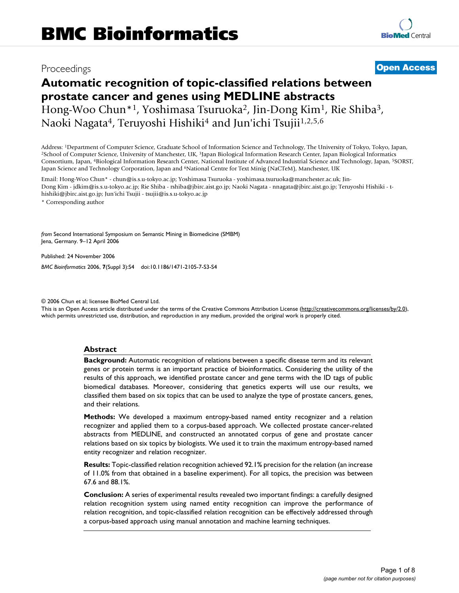# Proceedings **[Open Access](http://www.biomedcentral.com/info/about/charter/)**

# **Automatic recognition of topic-classified relations between prostate cancer and genes using MEDLINE abstracts** Hong-Woo Chun\*1, Yoshimasa Tsuruoka2, Jin-Dong Kim1, Rie Shiba3, Naoki Nagata<sup>4</sup>, Teruyoshi Hishiki<sup>4</sup> and Jun'ichi Tsujii<sup>1,2,5,6</sup>

Address: <sup>1</sup>Department of Computer Science, Graduate School of Information Science and Technology, The University of Tokyo, Tokyo, Japan, <sup>2</sup>School of Computer Science, University of Manchester, UK, <sup>3</sup>Japan Biological Inf Consortium, Japan, 4Biological Information Research Center, National Institute of Advanced Industrial Science and Technology, Japan, 5SORST, Japan Science and Technology Corporation, Japan and 6National Centre for Text Minig (NaCTeM), Manchester, UK

Email: Hong-Woo Chun\* - chun@is.s.u-tokyo.ac.jp; Yoshimasa Tsuruoka - yoshimasa.tsuruoka@manchester.ac.uk; Jin-Dong Kim - jdkim@is.s.u-tokyo.ac.jp; Rie Shiba - rshiba@jbirc.aist.go.jp; Naoki Nagata - nnagata@jbirc.aist.go.jp; Teruyoshi Hishiki - thishiki@jbirc.aist.go.jp; Jun'ichi Tsujii - tsujii@is.s.u-tokyo.ac.jp

\* Corresponding author

*from* Second International Symposium on Semantic Mining in Biomedicine (SMBM) Jena, Germany. 9–12 April 2006

Published: 24 November 2006

*BMC Bioinformatics* 2006, **7**(Suppl 3):S4 doi:10.1186/1471-2105-7-S3-S4

© 2006 Chun et al; licensee BioMed Central Ltd.

This is an Open Access article distributed under the terms of the Creative Commons Attribution License [\(http://creativecommons.org/licenses/by/2.0\)](http://creativecommons.org/licenses/by/2.0), which permits unrestricted use, distribution, and reproduction in any medium, provided the original work is properly cited.

#### **Abstract**

**Background:** Automatic recognition of relations between a specific disease term and its relevant genes or protein terms is an important practice of bioinformatics. Considering the utility of the results of this approach, we identified prostate cancer and gene terms with the ID tags of public biomedical databases. Moreover, considering that genetics experts will use our results, we classified them based on six topics that can be used to analyze the type of prostate cancers, genes, and their relations.

**Methods:** We developed a maximum entropy-based named entity recognizer and a relation recognizer and applied them to a corpus-based approach. We collected prostate cancer-related abstracts from MEDLINE, and constructed an annotated corpus of gene and prostate cancer relations based on six topics by biologists. We used it to train the maximum entropy-based named entity recognizer and relation recognizer.

**Results:** Topic-classified relation recognition achieved 92.1% precision for the relation (an increase of 11.0% from that obtained in a baseline experiment). For all topics, the precision was between 67.6 and 88.1%.

**Conclusion:** A series of experimental results revealed two important findings: a carefully designed relation recognition system using named entity recognition can improve the performance of relation recognition, and topic-classified relation recognition can be effectively addressed through a corpus-based approach using manual annotation and machine learning techniques.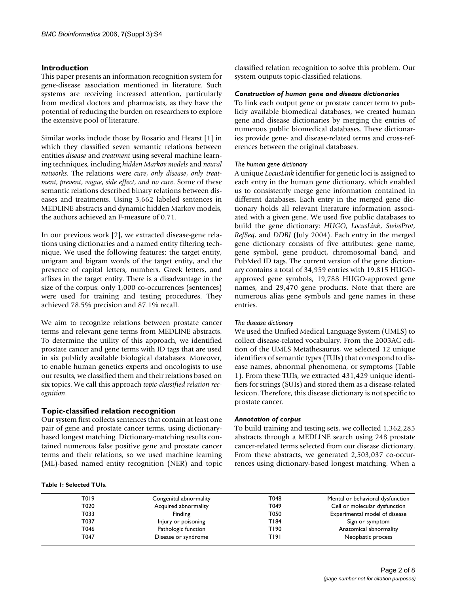# **Introduction**

This paper presents an information recognition system for gene-disease association mentioned in literature. Such systems are receiving increased attention, particularly from medical doctors and pharmacists, as they have the potential of reducing the burden on researchers to explore the extensive pool of literature.

Similar works include those by Rosario and Hearst [1] in which they classified seven semantic relations between entities *disease* and *treatment* using several machine learning techniques, including *hidden Markov models* and *neural networks*. The relations were *cure*, *only disease*, *only treatment*, *prevent*, *vague*, *side effect*, *and no cure*. Some of these semantic relations described binary relations between diseases and treatments. Using 3,662 labeled sentences in MEDLINE abstracts and dynamic hidden Markov models, the authors achieved an F-measure of 0.71.

In our previous work [2], we extracted disease-gene relations using dictionaries and a named entity filtering technique. We used the following features: the target entity, unigram and bigram words of the target entity, and the presence of capital letters, numbers, Greek letters, and affixes in the target entity. There is a disadvantage in the size of the corpus: only 1,000 co-occurrences (sentences) were used for training and testing procedures. They achieved 78.5% precision and 87.1% recall.

We aim to recognize relations between prostate cancer terms and relevant gene terms from MEDLINE abstracts. To determine the utility of this approach, we identified prostate cancer and gene terms with ID tags that are used in six publicly available biological databases. Moreover, to enable human genetics experts and oncologists to use our results, we classified them and their relations based on six topics. We call this approach *topic-classified relation recognition*.

# **Topic-classified relation recognition**

Our system first collects sentences that contain at least one pair of gene and prostate cancer terms, using dictionarybased longest matching. Dictionary-matching results contained numerous false positive gene and prostate cancer terms and their relations, so we used machine learning (ML)-based named entity recognition (NER) and topic

**Table 1: Selected TUIs.**

classified relation recognition to solve this problem. Our system outputs topic-classified relations.

#### *Construction of human gene and disease dictionaries*

To link each output gene or prostate cancer term to publicly available biomedical databases, we created human gene and disease dictionaries by merging the entries of numerous public biomedical databases. These dictionaries provide gene- and disease-related terms and cross-references between the original databases.

#### *The human gene dictionary*

A unique *LocusLink* identifier for genetic loci is assigned to each entry in the human gene dictionary, which enabled us to consistently merge gene information contained in different databases. Each entry in the merged gene dictionary holds all relevant literature information associated with a given gene. We used five public databases to build the gene dictionary: *HUGO*, *LocusLink*, *SwissProt*, *RefSeq*, and *DDBJ* (July 2004). Each entry in the merged gene dictionary consists of five attributes: gene name, gene symbol, gene product, chromosomal band, and PubMed ID tags. The current version of the gene dictionary contains a total of 34,959 entries with 19,815 HUGOapproved gene symbols, 19,788 HUGO-approved gene names, and 29,470 gene products. Note that there are numerous alias gene symbols and gene names in these entries.

#### *The disease dictionary*

We used the Unified Medical Language System (UMLS) to collect disease-related vocabulary. From the 2003AC edition of the UMLS Metathesaurus, we selected 12 unique identifiers of semantic types (TUIs) that correspond to disease names, abnormal phenomena, or symptoms (Table 1). From these TUIs, we extracted 431,429 unique identifiers for strings (SUIs) and stored them as a disease-related lexicon. Therefore, this disease dictionary is not specific to prostate cancer.

#### *Annotation of corpus*

To build training and testing sets, we collected 1,362,285 abstracts through a MEDLINE search using 248 prostate cancer-related terms selected from our disease dictionary. From these abstracts, we generated 2,503,037 co-occurrences using dictionary-based longest matching. When a

| T019 | Congenital abnormality | T048 | Mental or behavioral dysfunction |
|------|------------------------|------|----------------------------------|
| T020 | Acquired abnormality   | T049 | Cell or molecular dysfunction    |
| T033 | Finding                | T050 | Experimental model of disease    |
| T037 | Injury or poisoning    | T184 | Sign or symptom                  |
| T046 | Pathologic function    | T190 | Anatomical abnormality           |
| T047 | Disease or syndrome    | T191 | Neoplastic process               |
|      |                        |      |                                  |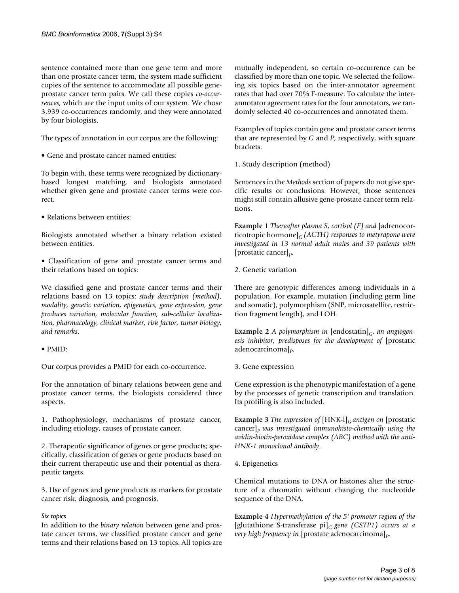sentence contained more than one gene term and more than one prostate cancer term, the system made sufficient copies of the sentence to accommodate all possible geneprostate cancer term pairs. We call these copies *co-occurrences*, which are the input units of our system. We chose 3,939 co-occurrences randomly, and they were annotated by four biologists.

The types of annotation in our corpus are the following:

• Gene and prostate cancer named entities:

To begin with, these terms were recognized by dictionarybased longest matching, and biologists annotated whether given gene and prostate cancer terms were correct.

• Relations between entities:

Biologists annotated whether a binary relation existed between entities.

• Classification of gene and prostate cancer terms and their relations based on topics:

We classified gene and prostate cancer terms and their relations based on 13 topics: *study description (method), modality, genetic variation, epigenetics, gene expression, gene produces variation, molecular function, sub-cellular localization, pharmacology, clinical marker, risk factor, tumor biology, and remarks*.

Our corpus provides a PMID for each co-occurrence.

For the annotation of binary relations between gene and prostate cancer terms, the biologists considered three aspects.

1. Pathophysiology, mechanisms of prostate cancer, including etiology, causes of prostate cancer.

2. Therapeutic significance of genes or gene products; specifically, classification of genes or gene products based on their current therapeutic use and their potential as therapeutic targets.

3. Use of genes and gene products as markers for prostate cancer risk, diagnosis, and prognosis.

### *Six topics*

In addition to the *binary relation* between gene and prostate cancer terms, we classified prostate cancer and gene terms and their relations based on 13 topics. All topics are mutually independent, so certain co-occurrence can be classified by more than one topic. We selected the following six topics based on the inter-annotator agreement rates that had over 70% F-measure. To calculate the interannotator agreement rates for the four annotators, we randomly selected 40 co-occurrences and annotated them.

Examples of topics contain gene and prostate cancer terms that are represented by *G* and *P*, respectively, with square brackets.

1. Study description (method)

Sentences in the *Methods* section of papers do not give specific results or conclusions. However, those sentences might still contain allusive gene-prostate cancer term relations.

**Example 1** *Thereafter plasma S, cortisol (F) and* [adrenocorticotropic hormone]*G (ACTH) responses to metyrapone were investigated in 13 normal adult males and 39 patients with* [prostatic cancer]<sub>*P*</sub>.

2. Genetic variation

There are genotypic differences among individuals in a population. For example, mutation (including germ line and somatic), polymorphism (SNP, microsatellite, restriction fragment length), and LOH.

**Example 2** *A polymorphism in* [endostatin] $\mu$ , *an angiogenesis inhibitor, predisposes for the development of* [prostatic adenocarcinoma]<sub>*P*</sub>.

3. Gene expression

Gene expression is the phenotypic manifestation of a gene by the processes of genetic transcription and translation. Its profiling is also included.

**Example 3** *The expression of* [HNK-l]<sup>*G*</sup> *antigen on* [prostatic cancer]<sub>*P</sub>* was investigated immunohisto-chemically using the</sub> *avidin-biotin-peroxidase complex (ABC) method with the anti-HNK-1 monoclonal antibody*.

4. Epigenetics

Chemical mutations to DNA or histones alter the structure of a chromatin without changing the nucleotide sequence of the DNA.

**Example 4** *Hypermethylation of the 5' promoter region of the* [glutathione S-transferase pi]*G gene (GSTP1) occurs at a very high frequency in* [prostate adenocarcinoma]<sub>*P*</sub>.

<sup>•</sup> PMID: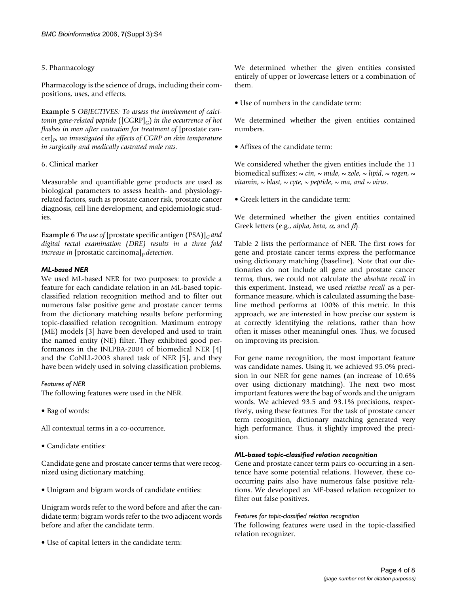# 5. Pharmacology

Pharmacology is the science of drugs, including their compositions, uses, and effects.

**Example 5** *OBJECTIVES: To assess the involvement of calcitonin gene-related peptide* ([CGRP]*G*) *in the occurrence of hot flashes in men after castration for treatment of [prostate can*cer]*P*, *we investigated the effects of CGRP on skin temperature in surgically and medically castrated male rats*.

# 6. Clinical marker

Measurable and quantifiable gene products are used as biological parameters to assess health- and physiologyrelated factors, such as prostate cancer risk, prostate cancer diagnosis, cell line development, and epidemiologic studies.

**Example 6** *The use of* [prostate specific antigen (PSA)] $_G$  *and digital rectal examination (DRE) results in a three fold increase in* [prostatic carcinoma]<sub>*p*</sub> detection.

# *ML-based NER*

We used ML-based NER for two purposes: to provide a feature for each candidate relation in an ML-based topicclassified relation recognition method and to filter out numerous false positive gene and prostate cancer terms from the dictionary matching results before performing topic-classified relation recognition. Maximum entropy (ME) models [3] have been developed and used to train the named entity (NE) filter. They exhibited good performances in the JNLPBA-2004 of biomedical NER [4] and the CoNLL-2003 shared task of NER [5], and they have been widely used in solving classification problems.

# *Features of NER*

The following features were used in the NER.

• Bag of words:

All contextual terms in a co-occurrence.

• Candidate entities:

Candidate gene and prostate cancer terms that were recognized using dictionary matching.

• Unigram and bigram words of candidate entities:

Unigram words refer to the word before and after the candidate term; bigram words refer to the two adjacent words before and after the candidate term.

• Use of capital letters in the candidate term:

We determined whether the given entities consisted entirely of upper or lowercase letters or a combination of them.

• Use of numbers in the candidate term:

We determined whether the given entities contained numbers.

• Affixes of the candidate term:

We considered whether the given entities include the 11 biomedical suffixes:  $\sim$  *cin,*  $\sim$  *mide,*  $\sim$  *zole,*  $\sim$  *lipid,*  $\sim$  *rogen,*  $\sim$ *vitamin,*  $\sim$  *blast,*  $\sim$  *cyte,*  $\sim$  *peptide,*  $\sim$  *ma, and*  $\sim$  *virus.* 

• Greek letters in the candidate term:

We determined whether the given entities contained Greek letters (e.g., *alpha*, *beta*, α, and β).

Table 2 lists the performance of NER. The first rows for gene and prostate cancer terms express the performance using dictionary matching (baseline). Note that our dictionaries do not include all gene and prostate cancer terms, thus, we could not calculate the *absolute recall* in this experiment. Instead, we used *relative recall* as a performance measure, which is calculated assuming the baseline method performs at 100% of this metric. In this approach, we are interested in how precise our system is at correctly identifying the relations, rather than how often it misses other meaningful ones. Thus, we focused on improving its precision.

For gene name recognition, the most important feature was candidate names. Using it, we achieved 95.0% precision in our NER for gene names (an increase of 10.6% over using dictionary matching). The next two most important features were the bag of words and the unigram words. We achieved 93.5 and 93.1% precisions, respectively, using these features. For the task of prostate cancer term recognition, dictionary matching generated very high performance. Thus, it slightly improved the precision.

# *ML-based topic-classified relation recognition*

Gene and prostate cancer term pairs co-occurring in a sentence have some potential relations. However, these cooccurring pairs also have numerous false positive relations. We developed an ME-based relation recognizer to filter out false positives.

# *Features for topic-classified relation recognition*

The following features were used in the topic-classified relation recognizer.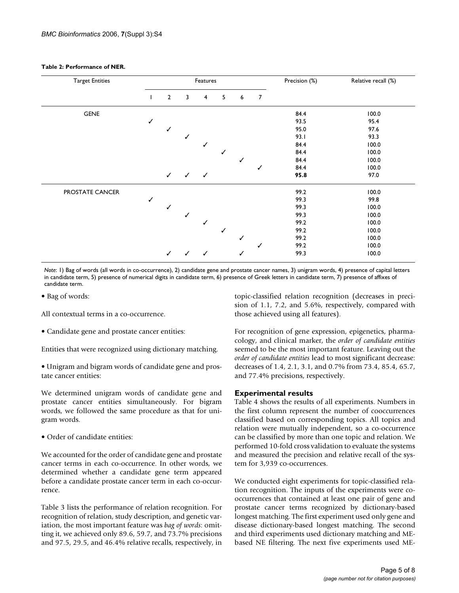#### **Table 2: Performance of NER.**

| <b>Target Entities</b> | Features |                |   |                |   |   | Precision (%) | Relative recall (%) |       |
|------------------------|----------|----------------|---|----------------|---|---|---------------|---------------------|-------|
|                        | J.       | $\overline{2}$ | 3 | $\overline{4}$ | 5 | 6 | 7             |                     |       |
| <b>GENE</b>            |          |                |   |                |   |   |               | 84.4                | 100.0 |
|                        | ✓        |                |   |                |   |   |               | 93.5                | 95.4  |
|                        |          |                |   |                |   |   |               | 95.0                | 97.6  |
|                        |          |                | √ |                |   |   |               | 93.I                | 93.3  |
|                        |          |                |   | √              |   |   |               | 84.4                | 100.0 |
|                        |          |                |   |                | √ |   |               | 84.4                | 100.0 |
|                        |          |                |   |                |   | ✓ |               | 84.4                | 100.0 |
|                        |          |                |   |                |   |   | ✓             | 84.4                | 100.0 |
|                        |          | $\checkmark$   | ✓ | $\checkmark$   |   |   |               | 95.8                | 97.0  |
| PROSTATE CANCER        |          |                |   |                |   |   |               | 99.2                | 100.0 |
|                        | ✓        |                |   |                |   |   |               | 99.3                | 99.8  |
|                        |          | ✓              |   |                |   |   |               | 99.3                | 100.0 |
|                        |          |                | ✓ |                |   |   |               | 99.3                | 100.0 |
|                        |          |                |   | √              |   |   |               | 99.2                | 100.0 |
|                        |          |                |   |                | ✓ |   |               | 99.2                | 100.0 |
|                        |          |                |   |                |   |   |               | 99.2                | 100.0 |
|                        |          |                |   |                |   |   |               | 99.2                | 100.0 |
|                        |          | ✓              |   | $\checkmark$   |   | ✓ |               | 99.3                | 100.0 |

*Note*: 1) Bag of words (all words in co-occurrence), 2) candidate gene and prostate cancer names, 3) unigram words, 4) presence of capital letters in candidate term, 5) presence of numerical digits in candidate term, 6) presence of Greek letters in candidate term, 7) presence of affixes of candidate term.

• Bag of words:

All contextual terms in a co-occurrence.

• Candidate gene and prostate cancer entities:

Entities that were recognized using dictionary matching.

• Unigram and bigram words of candidate gene and prostate cancer entities:

We determined unigram words of candidate gene and prostate cancer entities simultaneously. For bigram words, we followed the same procedure as that for unigram words.

• Order of candidate entities:

We accounted for the order of candidate gene and prostate cancer terms in each co-occurrence. In other words, we determined whether a candidate gene term appeared before a candidate prostate cancer term in each co-occurrence.

Table 3 lists the performance of relation recognition. For recognition of relation, study description, and genetic variation, the most important feature was *bag of words*: omitting it, we achieved only 89.6, 59.7, and 73.7% precisions and 97.5, 29.5, and 46.4% relative recalls, respectively, in topic-classified relation recognition (decreases in precision of 1.1, 7.2, and 5.6%, respectively, compared with those achieved using all features).

For recognition of gene expression, epigenetics, pharmacology, and clinical marker, the *order of candidate entities* seemed to be the most important feature. Leaving out the *order of candidate entities* lead to most significant decrease: decreases of 1.4, 2.1, 3.1, and 0.7% from 73.4, 85.4, 65.7, and 77.4% precisions, respectively.

# **Experimental results**

Table 4 shows the results of all experiments. Numbers in the first column represent the number of cooccurrences classified based on corresponding topics. All topics and relation were mutually independent, so a co-occurrence can be classified by more than one topic and relation. We performed 10-fold cross validation to evaluate the systems and measured the precision and relative recall of the system for 3,939 co-occurrences.

We conducted eight experiments for topic-classified relation recognition. The inputs of the experiments were cooccurrences that contained at least one pair of gene and prostate cancer terms recognized by dictionary-based longest matching. The first experiment used only gene and disease dictionary-based longest matching. The second and third experiments used dictionary matching and MEbased NE filtering. The next five experiments used ME-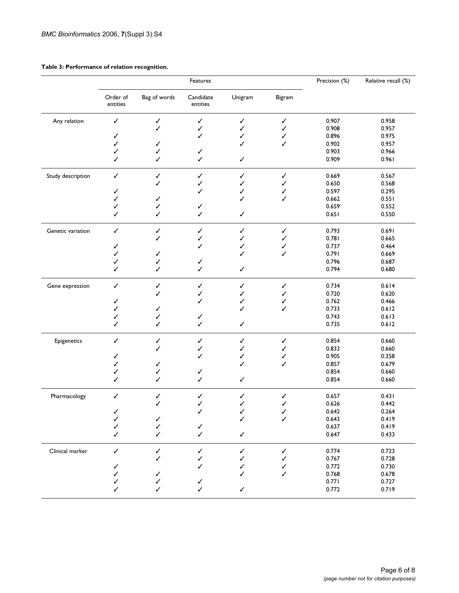#### **Table 3: Performance of relation recognition.**

|                   |                      |              | Features              |              |              |       |       |  |
|-------------------|----------------------|--------------|-----------------------|--------------|--------------|-------|-------|--|
|                   | Order of<br>entities | Bag of words | Candidate<br>entities | Unigram      | Bigram       |       |       |  |
| Any relation      | ✓                    | $\checkmark$ | ✓                     | ✓            | ✓            | 0.907 | 0.958 |  |
|                   |                      | ✓            | ✓                     | ✓            | ✓            | 0.908 | 0.957 |  |
|                   | ✓                    |              | ✓                     | ✓            | ✓            | 0.896 | 0.975 |  |
|                   | ✓                    | ✓            |                       | ✓            | ✓            | 0.902 | 0.957 |  |
|                   | ✓                    | ✓            | ✓                     |              |              | 0.903 | 0.966 |  |
|                   | ✓                    | ✓            | ✓                     | ✓            |              | 0.909 | 0.961 |  |
| Study description | ✓                    | $\checkmark$ | ✓                     | ✓            | ✓            | 0.669 | 0.567 |  |
|                   |                      | ✓            | ✓                     | ✓            | ✓            | 0.650 | 0.568 |  |
|                   | ✓                    |              | ✓                     | ✓            | ✓            | 0.597 | 0.295 |  |
|                   | ✓                    | ✓            |                       | ✓            | ✓            | 0.662 | 0.551 |  |
|                   | ✓                    | ✓            | ✓                     |              |              | 0.659 | 0.552 |  |
|                   | ✓                    | ✓            | ✓                     | ✓            |              | 0.651 | 0.550 |  |
| Genetic variation | ✓                    | $\checkmark$ | $\checkmark$          | $\checkmark$ | $\checkmark$ | 0.793 | 0.691 |  |
|                   |                      | ✓            | ✓                     | ✓            | ✓            | 0.781 | 0.665 |  |
|                   | ✓                    |              | ✓                     | ✓            | ✓            | 0.737 | 0.464 |  |
|                   | ✓                    | ✓            |                       | ✓            | ✓            | 0.791 | 0.669 |  |
|                   | ✓                    | ✓            | ✓                     |              |              | 0.796 | 0.687 |  |
|                   | ✓                    | ✓            | ✓                     | ✓            |              | 0.794 | 0.680 |  |
| Gene expression   | ✓                    | ✓            | ✓                     | ✓            | ✓            | 0.734 | 0.614 |  |
|                   |                      | ✓            | ✓                     | ✓            | ✓            | 0.720 | 0.620 |  |
|                   | ✓                    |              | ✓                     | ✓            | ✓            | 0.762 | 0.466 |  |
|                   | ✓                    | ✓            |                       | ✓            | ✓            | 0.733 | 0.612 |  |
|                   | ✓                    | ✓            | ✓                     |              |              | 0.743 | 0.613 |  |
|                   | $\checkmark$         | ✓            | ✓                     | ✓            |              | 0.735 | 0.612 |  |
| Epigenetics       | ✓                    | $\checkmark$ | ✓                     | ✓            | ✓            | 0.854 | 0.660 |  |
|                   |                      | ✓            | ✓                     | ✓            | ✓            | 0.833 | 0.660 |  |
|                   | ✓                    |              | ✓                     | ✓            | ✓            | 0.905 | 0.358 |  |
|                   | ✓                    | ✓            |                       | ✓            | ✓            | 0.857 | 0.679 |  |
|                   | ✓                    | ✓            | ✓                     |              |              | 0.854 | 0.660 |  |
|                   | ✓                    | ✓            | ✓                     | ✓            |              | 0.854 | 0.660 |  |
| Pharmacology      | ✓                    | ✓            | ✓                     | ✓            | ✓            | 0.657 | 0.431 |  |
|                   |                      | ✓            | ✓                     | ✓            | ✓            | 0.626 | 0.442 |  |
|                   | ,                    |              |                       |              |              | 0.642 | 0.264 |  |
|                   | ✓                    | ✓            |                       |              |              | 0.643 | 0.419 |  |
|                   | ✓                    | ✓            | ✓                     |              |              | 0.637 | 0.419 |  |
|                   | ✓                    | ✓            | ✓                     | ✓            |              | 0.647 | 0.433 |  |
| Clinical marker   | $\checkmark$         | $\checkmark$ | ✓                     | ✓            | ✓            | 0.774 | 0.723 |  |
|                   |                      | ✓            |                       |              |              | 0.767 | 0.728 |  |
|                   | ✓                    |              |                       | ✓            |              | 0.772 | 0.730 |  |
|                   | ✓                    | ✓            |                       | ✓            |              | 0.768 | 0.678 |  |
|                   | ✓                    | ✓            | ✓                     |              |              | 0.771 | 0.727 |  |
|                   | ✓                    | ✓            | ✓                     | ✓            |              | 0.772 | 0.719 |  |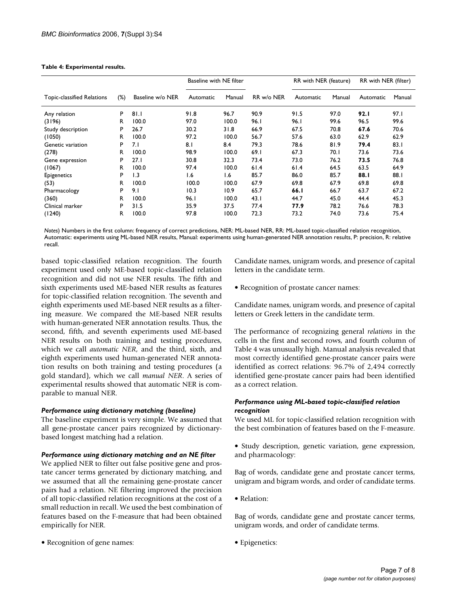#### **Table 4: Experimental results.**

|                            |        |                  | Baseline with NE filter |        |            | RR with NER (feature) |        | RR with NER (filter) |        |
|----------------------------|--------|------------------|-------------------------|--------|------------|-----------------------|--------|----------------------|--------|
| Topic-classified Relations | $(\%)$ | Baseline w/o NER | Automatic               | Manual | RR w/o NER | Automatic             | Manual | Automatic            | Manual |
| Any relation               | P      | 81.1             | 91.8                    | 96.7   | 90.9       | 91.5                  | 97.0   | 92.I                 | 97.I   |
| (3196)                     | R      | 100.0            | 97.0                    | 100.0  | 96.1       | 96.1                  | 99.6   | 96.5                 | 99.6   |
| Study description          | P      | 26.7             | 30.2                    | 31.8   | 66.9       | 67.5                  | 70.8   | 67.6                 | 70.6   |
| (1050)                     | R      | 100.0            | 97.2                    | 100.0  | 56.7       | 57.6                  | 63.0   | 62.9                 | 62.9   |
| Genetic variation          | P      | 7.1              | 8.1                     | 8.4    | 79.3       | 78.6                  | 81.9   | 79.4                 | 83.1   |
| (278)                      | R      | 100.0            | 98.9                    | 100.0  | 69.1       | 67.3                  | 70. I  | 73.6                 | 73.6   |
| Gene expression            | P      | 27.1             | 30.8                    | 32.3   | 73.4       | 73.0                  | 76.2   | 73.5                 | 76.8   |
| (1067)                     | R      | 100.0            | 97.4                    | 100.0  | 61.4       | 61.4                  | 64.5   | 63.5                 | 64.9   |
| Epigenetics                | P      | 1.3              | 1.6                     | 1.6    | 85.7       | 86.0                  | 85.7   | 88.I                 | 88.1   |
| (53)                       | R      | 100.0            | 100.0                   | 100.0  | 67.9       | 69.8                  | 67.9   | 69.8                 | 69.8   |
| Pharmacology               | P      | 9.1              | 10.3                    | 10.9   | 65.7       | 66.I                  | 66.7   | 63.7                 | 67.2   |
| (360)                      | R      | 100.0            | 96.I                    | 100.0  | 43.1       | 44.7                  | 45.0   | 44.4                 | 45.3   |
| Clinical marker            | P      | 31.5             | 35.9                    | 37.5   | 77.4       | 77.9                  | 78.2   | 76.6                 | 78.3   |
| (1240)                     | R      | 100.0            | 97.8                    | 100.0  | 72.3       | 73.2                  | 74.0   | 73.6                 | 75.4   |

*Notes*) Numbers in the first column: frequency of correct predictions, NER: ML-based NER, RR: ML-based topic-classified relation recognition, Automatic: experiments using ML-based NER results, Manual: experiments using human-generated NER annotation results, P: precision, R: relative recall.

based topic-classified relation recognition. The fourth experiment used only ME-based topic-classified relation recognition and did not use NER results. The fifth and sixth experiments used ME-based NER results as features for topic-classified relation recognition. The seventh and eighth experiments used ME-based NER results as a filtering measure. We compared the ME-based NER results with human-generated NER annotation results. Thus, the second, fifth, and seventh experiments used ME-based NER results on both training and testing procedures, which we call *automatic NER*, and the third, sixth, and eighth experiments used human-generated NER annotation results on both training and testing procedures (a gold standard), which we call *manual NER*. A series of experimental results showed that automatic NER is comparable to manual NER.

#### *Performance using dictionary matching (baseline)*

The baseline experiment is very simple. We assumed that all gene-prostate cancer pairs recognized by dictionarybased longest matching had a relation.

#### *Performance using dictionary matching and an NE filter*

We applied NER to filter out false positive gene and prostate cancer terms generated by dictionary matching, and we assumed that all the remaining gene-prostate cancer pairs had a relation. NE filtering improved the precision of all topic-classified relation recognitions at the cost of a small reduction in recall. We used the best combination of features based on the F-measure that had been obtained empirically for NER.

• Recognition of gene names:

Candidate names, unigram words, and presence of capital letters in the candidate term.

• Recognition of prostate cancer names:

Candidate names, unigram words, and presence of capital letters or Greek letters in the candidate term.

The performance of recognizing general *relations* in the cells in the first and second rows, and fourth column of Table 4 was unusually high. Manual analysis revealed that most correctly identified gene-prostate cancer pairs were identified as correct relations: 96.7% of 2,494 correctly identified gene-prostate cancer pairs had been identified as a correct relation.

#### *Performance using ML-based topic-classified relation recognition*

We used ML for topic-classified relation recognition with the best combination of features based on the F-measure.

• Study description, genetic variation, gene expression, and pharmacology:

Bag of words, candidate gene and prostate cancer terms, unigram and bigram words, and order of candidate terms.

• Relation:

Bag of words, candidate gene and prostate cancer terms, unigram words, and order of candidate terms.

• Epigenetics: